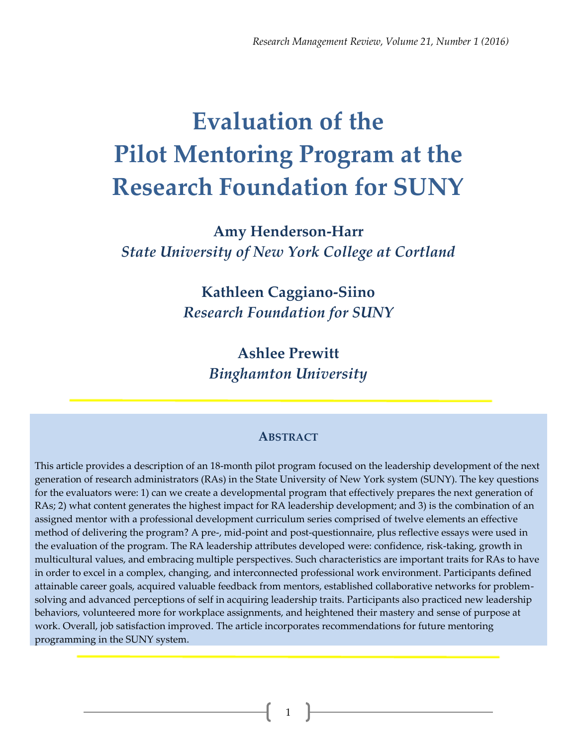# **Evaluation of the Pilot Mentoring Program at the Research Foundation for SUNY**

**Amy Henderson-Harr**  *State University of New York College at Cortland*

> **Kathleen Caggiano-Siino**  *Research Foundation for SUNY*

> > **Ashlee Prewitt**  *Binghamton University*

#### **ABSTRACT**

This article provides a description of an 18-month pilot program focused on the leadership development of the next generation of research administrators (RAs) in the State University of New York system (SUNY). The key questions for the evaluators were: 1) can we create a developmental program that effectively prepares the next generation of RAs; 2) what content generates the highest impact for RA leadership development; and 3) is the combination of an assigned mentor with a professional development curriculum series comprised of twelve elements an effective method of delivering the program? A pre-, mid-point and post-questionnaire, plus reflective essays were used in the evaluation of the program. The RA leadership attributes developed were: confidence, risk-taking, growth in multicultural values, and embracing multiple perspectives. Such characteristics are important traits for RAs to have in order to excel in a complex, changing, and interconnected professional work environment. Participants defined attainable career goals, acquired valuable feedback from mentors, established collaborative networks for problemsolving and advanced perceptions of self in acquiring leadership traits. Participants also practiced new leadership behaviors, volunteered more for workplace assignments, and heightened their mastery and sense of purpose at work. Overall, job satisfaction improved. The article incorporates recommendations for future mentoring programming in the SUNY system.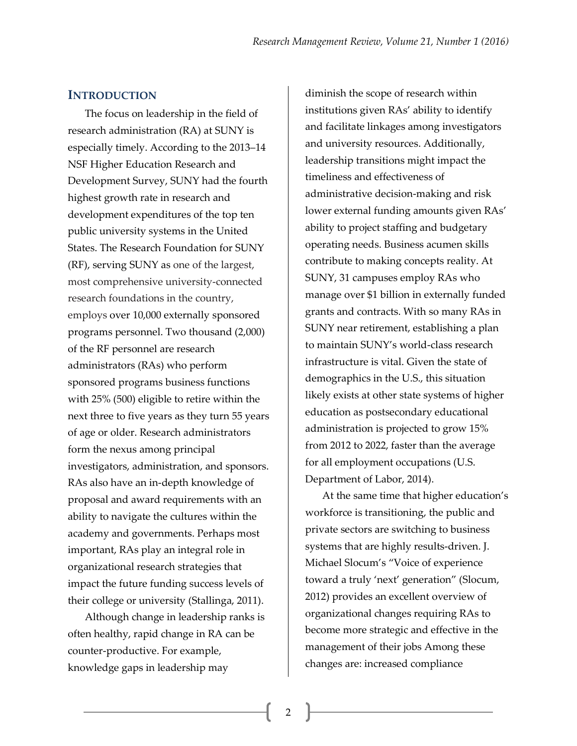#### **INTRODUCTION**

The focus on leadership in the field of research administration (RA) at SUNY is especially timely. According to the 2013–14 NSF Higher Education Research and Development Survey, SUNY had the fourth highest growth rate in research and development expenditures of the top ten public university systems in the United States. The Research Foundation for SUNY (RF), serving SUNY as one of the largest, most comprehensive university-connected research foundations in the country, employs over 10,000 externally sponsored programs personnel. Two thousand (2,000) of the RF personnel are research administrators (RAs) who perform sponsored programs business functions with 25% (500) eligible to retire within the next three to five years as they turn 55 years of age or older. Research administrators form the nexus among principal investigators, administration, and sponsors. RAs also have an in-depth knowledge of proposal and award requirements with an ability to navigate the cultures within the academy and governments. Perhaps most important, RAs play an integral role in organizational research strategies that impact the future funding success levels of their college or university (Stallinga, 2011).

Although change in leadership ranks is often healthy, rapid change in RA can be counter-productive. For example, knowledge gaps in leadership may

diminish the scope of research within institutions given RAs' ability to identify and facilitate linkages among investigators and university resources. Additionally, leadership transitions might impact the timeliness and effectiveness of administrative decision-making and risk lower external funding amounts given RAs' ability to project staffing and budgetary operating needs. Business acumen skills contribute to making concepts reality. At SUNY, 31 campuses employ RAs who manage over \$1 billion in externally funded grants and contracts. With so many RAs in SUNY near retirement, establishing a plan to maintain SUNY's world-class research infrastructure is vital. Given the state of demographics in the U.S., this situation likely exists at other state systems of higher education as postsecondary educational administration is projected to grow 15% from 2012 to 2022, faster than the average for all employment occupations (U.S. Department of Labor, 2014).

At the same time that higher education's workforce is transitioning, the public and private sectors are switching to business systems that are highly results-driven. J. Michael Slocum's "Voice of experience toward a truly 'next' generation" (Slocum, 2012) provides an excellent overview of organizational changes requiring RAs to become more strategic and effective in the management of their jobs Among these changes are: increased compliance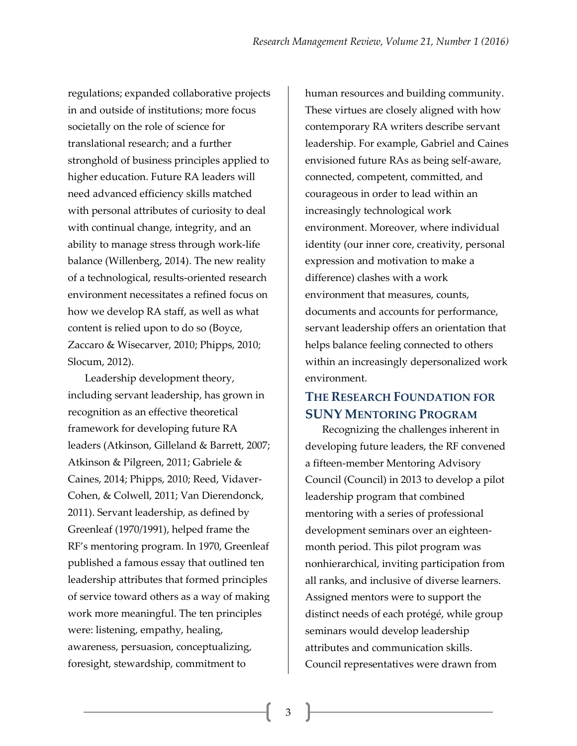regulations; expanded collaborative projects in and outside of institutions; more focus societally on the role of science for translational research; and a further stronghold of business principles applied to higher education. Future RA leaders will need advanced efficiency skills matched with personal attributes of curiosity to deal with continual change, integrity, and an ability to manage stress through work-life balance (Willenberg, 2014). The new reality of a technological, results-oriented research environment necessitates a refined focus on how we develop RA staff, as well as what content is relied upon to do so (Boyce, Zaccaro & Wisecarver, 2010; Phipps, 2010; Slocum, 2012).

Leadership development theory, including servant leadership, has grown in recognition as an effective theoretical framework for developing future RA leaders (Atkinson, Gilleland & Barrett, 2007; Atkinson & Pilgreen, 2011; Gabriele & Caines, 2014; Phipps, 2010; Reed, Vidaver-Cohen, & Colwell, 2011; Van Dierendonck, 2011). Servant leadership, as defined by Greenleaf (1970/1991), helped frame the RF's mentoring program. In 1970, Greenleaf published a famous essay that outlined ten leadership attributes that formed principles of service toward others as a way of making work more meaningful. The ten principles were: listening, empathy, healing, awareness, persuasion, conceptualizing, foresight, stewardship, commitment to

human resources and building community. These virtues are closely aligned with how contemporary RA writers describe servant leadership. For example, Gabriel and Caines envisioned future RAs as being self-aware, connected, competent, committed, and courageous in order to lead within an increasingly technological work environment. Moreover, where individual identity (our inner core, creativity, personal expression and motivation to make a difference) clashes with a work environment that measures, counts, documents and accounts for performance, servant leadership offers an orientation that helps balance feeling connected to others within an increasingly depersonalized work environment.

## **THE RESEARCH FOUNDATION FOR SUNY MENTORING PROGRAM**

Recognizing the challenges inherent in developing future leaders, the RF convened a fifteen-member Mentoring Advisory Council (Council) in 2013 to develop a pilot leadership program that combined mentoring with a series of professional development seminars over an eighteenmonth period. This pilot program was nonhierarchical, inviting participation from all ranks, and inclusive of diverse learners. Assigned mentors were to support the distinct needs of each protégé, while group seminars would develop leadership attributes and communication skills. Council representatives were drawn from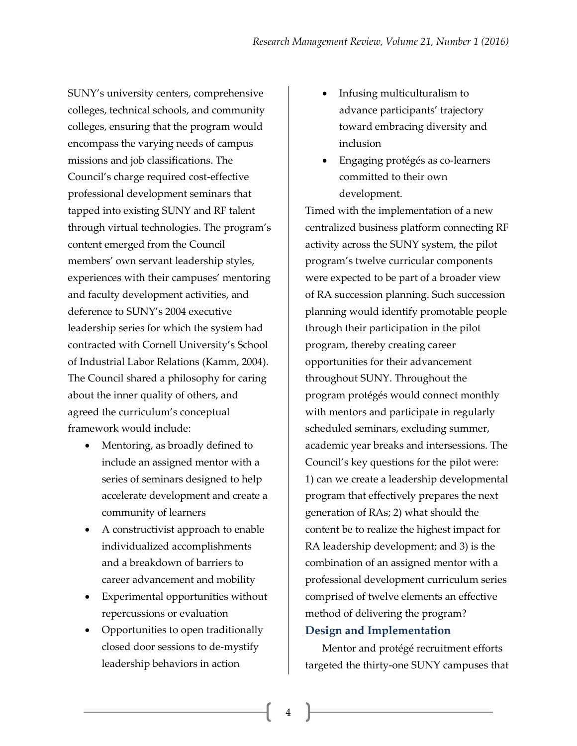SUNY's university centers, comprehensive colleges, technical schools, and community colleges, ensuring that the program would encompass the varying needs of campus missions and job classifications. The Council's charge required cost-effective professional development seminars that tapped into existing SUNY and RF talent through virtual technologies. The program's content emerged from the Council members' own servant leadership styles, experiences with their campuses' mentoring and faculty development activities, and deference to SUNY's 2004 executive leadership series for which the system had contracted with Cornell University's School of Industrial Labor Relations (Kamm, 2004). The Council shared a philosophy for caring about the inner quality of others, and agreed the curriculum's conceptual framework would include:

- Mentoring, as broadly defined to include an assigned mentor with a series of seminars designed to help accelerate development and create a community of learners
- A constructivist approach to enable individualized accomplishments and a breakdown of barriers to career advancement and mobility
- Experimental opportunities without repercussions or evaluation
- Opportunities to open traditionally closed door sessions to de-mystify leadership behaviors in action
- Infusing multiculturalism to advance participants' trajectory toward embracing diversity and inclusion
- Engaging protégés as co-learners committed to their own development.

Timed with the implementation of a new centralized business platform connecting RF activity across the SUNY system, the pilot program's twelve curricular components were expected to be part of a broader view of RA succession planning. Such succession planning would identify promotable people through their participation in the pilot program, thereby creating career opportunities for their advancement throughout SUNY. Throughout the program protégés would connect monthly with mentors and participate in regularly scheduled seminars, excluding summer, academic year breaks and intersessions. The Council's key questions for the pilot were: 1) can we create a leadership developmental program that effectively prepares the next generation of RAs; 2) what should the content be to realize the highest impact for RA leadership development; and 3) is the combination of an assigned mentor with a professional development curriculum series comprised of twelve elements an effective method of delivering the program? **Design and Implementation**

Mentor and protégé recruitment efforts targeted the thirty-one SUNY campuses that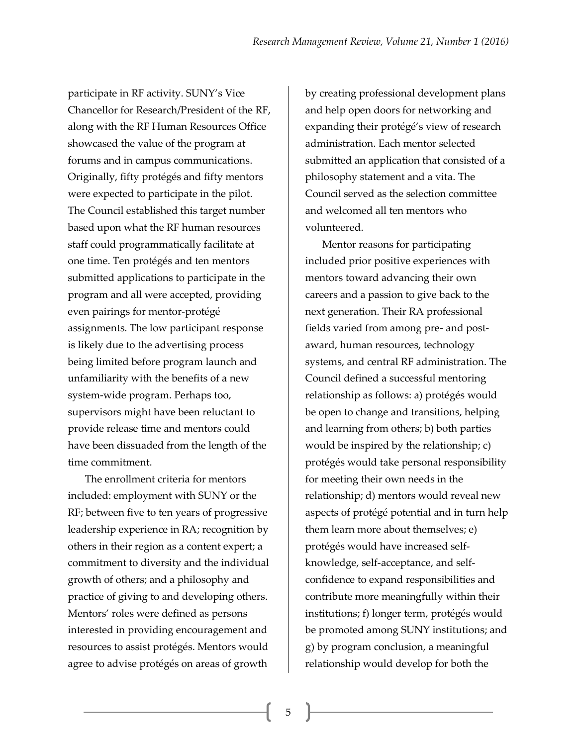participate in RF activity. SUNY's Vice Chancellor for Research/President of the RF, along with the RF Human Resources Office showcased the value of the program at forums and in campus communications. Originally, fifty protégés and fifty mentors were expected to participate in the pilot. The Council established this target number based upon what the RF human resources staff could programmatically facilitate at one time. Ten protégés and ten mentors submitted applications to participate in the program and all were accepted, providing even pairings for mentor-protégé assignments. The low participant response is likely due to the advertising process being limited before program launch and unfamiliarity with the benefits of a new system-wide program. Perhaps too, supervisors might have been reluctant to provide release time and mentors could have been dissuaded from the length of the time commitment.

The enrollment criteria for mentors included: employment with SUNY or the RF; between five to ten years of progressive leadership experience in RA; recognition by others in their region as a content expert; a commitment to diversity and the individual growth of others; and a philosophy and practice of giving to and developing others. Mentors' roles were defined as persons interested in providing encouragement and resources to assist protégés. Mentors would agree to advise protégés on areas of growth

by creating professional development plans and help open doors for networking and expanding their protégé's view of research administration. Each mentor selected submitted an application that consisted of a philosophy statement and a vita. The Council served as the selection committee and welcomed all ten mentors who volunteered.

Mentor reasons for participating included prior positive experiences with mentors toward advancing their own careers and a passion to give back to the next generation. Their RA professional fields varied from among pre- and postaward, human resources, technology systems, and central RF administration. The Council defined a successful mentoring relationship as follows: a) protégés would be open to change and transitions, helping and learning from others; b) both parties would be inspired by the relationship; c) protégés would take personal responsibility for meeting their own needs in the relationship; d) mentors would reveal new aspects of protégé potential and in turn help them learn more about themselves; e) protégés would have increased selfknowledge, self-acceptance, and selfconfidence to expand responsibilities and contribute more meaningfully within their institutions; f) longer term, protégés would be promoted among SUNY institutions; and g) by program conclusion, a meaningful relationship would develop for both the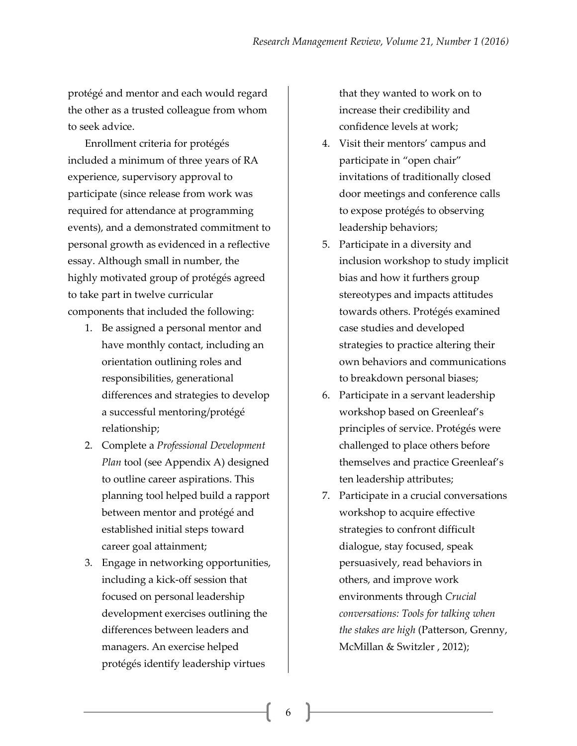protégé and mentor and each would regard the other as a trusted colleague from whom to seek advice.

Enrollment criteria for protégés included a minimum of three years of RA experience, supervisory approval to participate (since release from work was required for attendance at programming events), and a demonstrated commitment to personal growth as evidenced in a reflective essay. Although small in number, the highly motivated group of protégés agreed to take part in twelve curricular components that included the following:

- 1. Be assigned a personal mentor and have monthly contact, including an orientation outlining roles and responsibilities, generational differences and strategies to develop a successful mentoring/protégé relationship;
- 2. Complete a *Professional Development Plan* tool (see Appendix A) designed to outline career aspirations. This planning tool helped build a rapport between mentor and protégé and established initial steps toward career goal attainment;
- 3. Engage in networking opportunities, including a kick-off session that focused on personal leadership development exercises outlining the differences between leaders and managers. An exercise helped protégés identify leadership virtues

that they wanted to work on to increase their credibility and confidence levels at work;

- 4. Visit their mentors' campus and participate in "open chair" invitations of traditionally closed door meetings and conference calls to expose protégés to observing leadership behaviors;
- 5. Participate in a diversity and inclusion workshop to study implicit bias and how it furthers group stereotypes and impacts attitudes towards others. Protégés examined case studies and developed strategies to practice altering their own behaviors and communications to breakdown personal biases;
- 6. Participate in a servant leadership workshop based on Greenleaf's principles of service. Protégés were challenged to place others before themselves and practice Greenleaf's ten leadership attributes;
- 7. Participate in a crucial conversations workshop to acquire effective strategies to confront difficult dialogue, stay focused, speak persuasively, read behaviors in others, and improve work environments through *Crucial conversations: Tools for talking when the stakes are high* (Patterson, Grenny, McMillan & Switzler , 2012);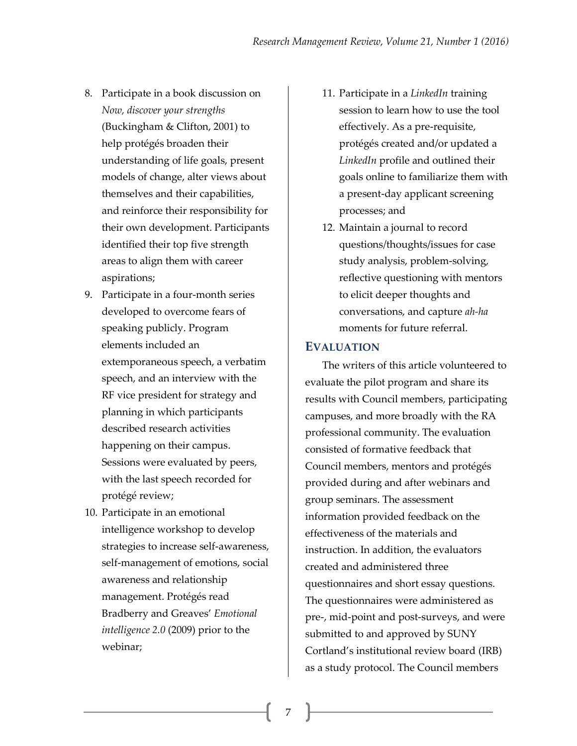- 8. Participate in a book discussion on *Now, discover your strengths*  (Buckingham & Clifton, 2001) to help protégés broaden their understanding of life goals, present models of change, alter views about themselves and their capabilities, and reinforce their responsibility for their own development. Participants identified their top five strength areas to align them with career aspirations;
- 9. Participate in a four-month series developed to overcome fears of speaking publicly. Program elements included an extemporaneous speech, a verbatim speech, and an interview with the RF vice president for strategy and planning in which participants described research activities happening on their campus. Sessions were evaluated by peers, with the last speech recorded for protégé review;
- 10. Participate in an emotional intelligence workshop to develop strategies to increase self-awareness, self-management of emotions, social awareness and relationship management. Protégés read Bradberry and Greaves' *Emotional intelligence 2.0* (2009) prior to the webinar;
- 11. Participate in a *LinkedIn* training session to learn how to use the tool effectively. As a pre-requisite, protégés created and/or updated a *LinkedIn* profile and outlined their goals online to familiarize them with a present-day applicant screening processes; and
- 12. Maintain a journal to record questions/thoughts/issues for case study analysis, problem-solving, reflective questioning with mentors to elicit deeper thoughts and conversations, and capture *ah-ha* moments for future referral.

#### **EVALUATION**

The writers of this article volunteered to evaluate the pilot program and share its results with Council members, participating campuses, and more broadly with the RA professional community. The evaluation consisted of formative feedback that Council members, mentors and protégés provided during and after webinars and group seminars. The assessment information provided feedback on the effectiveness of the materials and instruction. In addition, the evaluators created and administered three questionnaires and short essay questions. The questionnaires were administered as pre-, mid-point and post-surveys, and were submitted to and approved by SUNY Cortland's institutional review board (IRB) as a study protocol. The Council members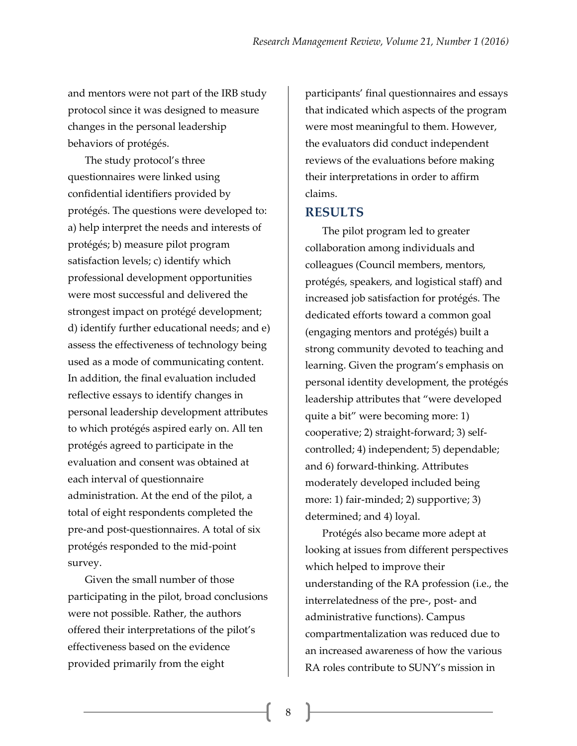and mentors were not part of the IRB study protocol since it was designed to measure changes in the personal leadership behaviors of protégés.

The study protocol's three questionnaires were linked using confidential identifiers provided by protégés. The questions were developed to: a) help interpret the needs and interests of protégés; b) measure pilot program satisfaction levels; c) identify which professional development opportunities were most successful and delivered the strongest impact on protégé development; d) identify further educational needs; and e) assess the effectiveness of technology being used as a mode of communicating content. In addition, the final evaluation included reflective essays to identify changes in personal leadership development attributes to which protégés aspired early on. All ten protégés agreed to participate in the evaluation and consent was obtained at each interval of questionnaire administration. At the end of the pilot, a total of eight respondents completed the pre-and post-questionnaires. A total of six protégés responded to the mid-point survey.

Given the small number of those participating in the pilot, broad conclusions were not possible. Rather, the authors offered their interpretations of the pilot's effectiveness based on the evidence provided primarily from the eight

participants' final questionnaires and essays that indicated which aspects of the program were most meaningful to them. However, the evaluators did conduct independent reviews of the evaluations before making their interpretations in order to affirm claims.

### **RESULTS**

The pilot program led to greater collaboration among individuals and colleagues (Council members, mentors, protégés, speakers, and logistical staff) and increased job satisfaction for protégés. The dedicated efforts toward a common goal (engaging mentors and protégés) built a strong community devoted to teaching and learning. Given the program's emphasis on personal identity development, the protégés leadership attributes that "were developed quite a bit" were becoming more: 1) cooperative; 2) straight-forward; 3) selfcontrolled; 4) independent; 5) dependable; and 6) forward-thinking. Attributes moderately developed included being more: 1) fair-minded; 2) supportive; 3) determined; and 4) loyal.

Protégés also became more adept at looking at issues from different perspectives which helped to improve their understanding of the RA profession (i.e., the interrelatedness of the pre-, post- and administrative functions). Campus compartmentalization was reduced due to an increased awareness of how the various RA roles contribute to SUNY's mission in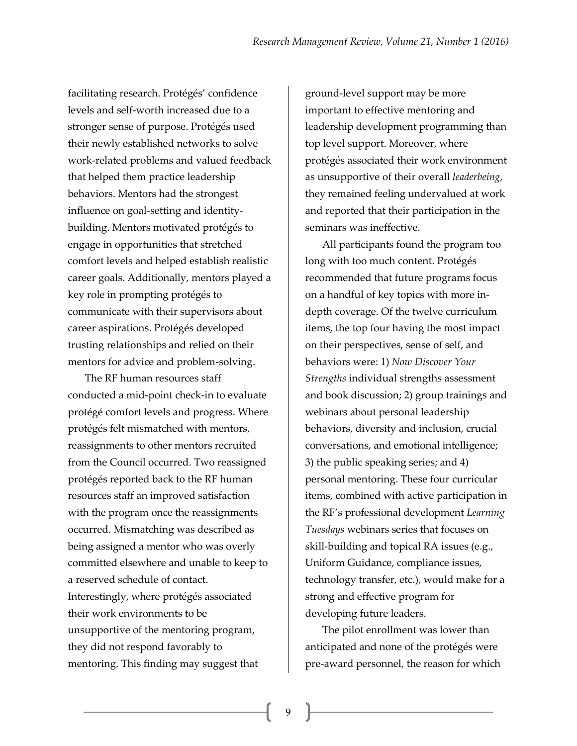facilitating research. Protégés' confidence levels and self-worth increased due to a stronger sense of purpose. Protégés used their newly established networks to solve work-related problems and valued feedback that helped them practice leadership behaviors. Mentors had the strongest influence on goal-setting and identitybuilding. Mentors motivated protégés to engage in opportunities that stretched comfort levels and helped establish realistic career goals. Additionally, mentors played a key role in prompting protégés to communicate with their supervisors about career aspirations. Protégés developed trusting relationships and relied on their mentors for advice and problem-solving.

The RF human resources staff conducted a mid-point check-in to evaluate protégé comfort levels and progress. Where protégés felt mismatched with mentors, reassignments to other mentors recruited from the Council occurred. Two reassigned protégés reported back to the RF human resources staff an improved satisfaction with the program once the reassignments occurred. Mismatching was described as being assigned a mentor who was overly committed elsewhere and unable to keep to a reserved schedule of contact. Interestingly, where protégés associated their work environments to be unsupportive of the mentoring program, they did not respond favorably to mentoring. This finding may suggest that

ground-level support may be more important to effective mentoring and leadership development programming than top level support. Moreover, where protégés associated their work environment as unsupportive of their overall *leaderbeing*, they remained feeling undervalued at work and reported that their participation in the seminars was ineffective.

All participants found the program too long with too much content. Protégés recommended that future programs focus on a handful of key topics with more indepth coverage. Of the twelve curriculum items, the top four having the most impact on their perspectives, sense of self, and behaviors were: 1) *Now Discover Your Strengths* individual strengths assessment and book discussion; 2) group trainings and webinars about personal leadership behaviors, diversity and inclusion, crucial conversations, and emotional intelligence; 3) the public speaking series; and 4) personal mentoring. These four curricular items, combined with active participation in the RF's professional development *Learning Tuesdays* webinars series that focuses on skill-building and topical RA issues (e.g., Uniform Guidance, compliance issues, technology transfer, etc.), would make for a strong and effective program for developing future leaders.

The pilot enrollment was lower than anticipated and none of the protégés were pre-award personnel, the reason for which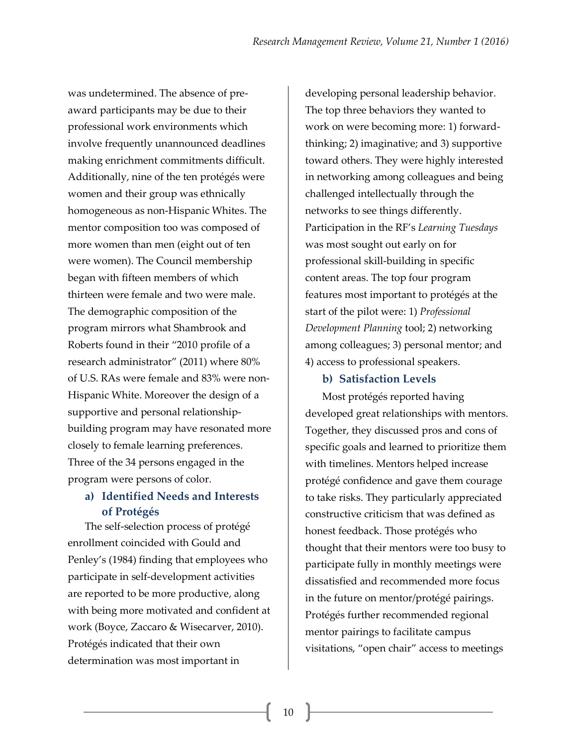was undetermined. The absence of preaward participants may be due to their professional work environments which involve frequently unannounced deadlines making enrichment commitments difficult. Additionally, nine of the ten protégés were women and their group was ethnically homogeneous as non-Hispanic Whites. The mentor composition too was composed of more women than men (eight out of ten were women). The Council membership began with fifteen members of which thirteen were female and two were male. The demographic composition of the program mirrors what Shambrook and Roberts found in their "2010 profile of a research administrator" (2011) where 80% of U.S. RAs were female and 83% were non-Hispanic White. Moreover the design of a supportive and personal relationshipbuilding program may have resonated more closely to female learning preferences. Three of the 34 persons engaged in the program were persons of color.

## **a) Identified Needs and Interests of Protégés**

The self-selection process of protégé enrollment coincided with Gould and Penley's (1984) finding that employees who participate in self-development activities are reported to be more productive, along with being more motivated and confident at work (Boyce, Zaccaro & Wisecarver, 2010). Protégés indicated that their own determination was most important in

developing personal leadership behavior. The top three behaviors they wanted to work on were becoming more: 1) forwardthinking; 2) imaginative; and 3) supportive toward others. They were highly interested in networking among colleagues and being challenged intellectually through the networks to see things differently. Participation in the RF's *Learning Tuesdays* was most sought out early on for professional skill-building in specific content areas. The top four program features most important to protégés at the start of the pilot were: 1) *Professional Development Planning* tool; 2) networking among colleagues; 3) personal mentor; and 4) access to professional speakers.

### **b) Satisfaction Levels**

Most protégés reported having developed great relationships with mentors. Together, they discussed pros and cons of specific goals and learned to prioritize them with timelines. Mentors helped increase protégé confidence and gave them courage to take risks. They particularly appreciated constructive criticism that was defined as honest feedback. Those protégés who thought that their mentors were too busy to participate fully in monthly meetings were dissatisfied and recommended more focus in the future on mentor/protégé pairings. Protégés further recommended regional mentor pairings to facilitate campus visitations, "open chair" access to meetings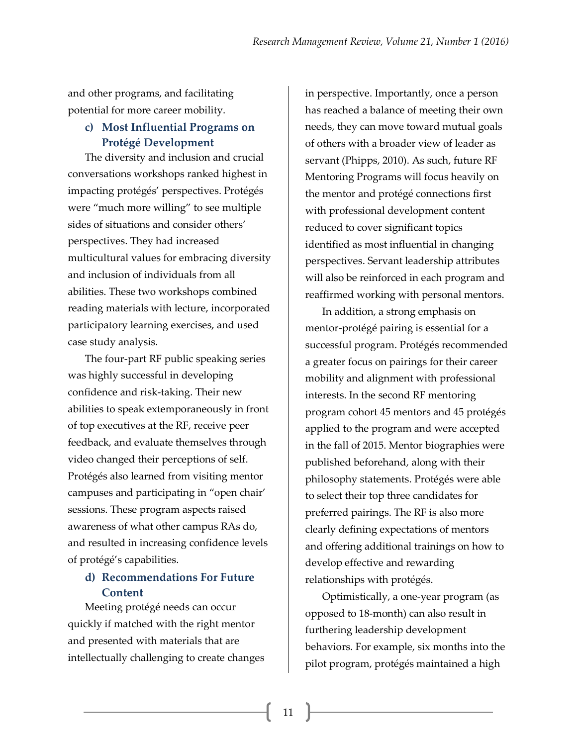and other programs, and facilitating potential for more career mobility.

### **c) Most Influential Programs on Protégé Development**

The diversity and inclusion and crucial conversations workshops ranked highest in impacting protégés' perspectives. Protégés were "much more willing" to see multiple sides of situations and consider others' perspectives. They had increased multicultural values for embracing diversity and inclusion of individuals from all abilities. These two workshops combined reading materials with lecture, incorporated participatory learning exercises, and used case study analysis.

The four-part RF public speaking series was highly successful in developing confidence and risk-taking. Their new abilities to speak extemporaneously in front of top executives at the RF, receive peer feedback, and evaluate themselves through video changed their perceptions of self. Protégés also learned from visiting mentor campuses and participating in "open chair' sessions. These program aspects raised awareness of what other campus RAs do, and resulted in increasing confidence levels of protégé's capabilities.

## **d) Recommendations For Future Content**

Meeting protégé needs can occur quickly if matched with the right mentor and presented with materials that are intellectually challenging to create changes

in perspective. Importantly, once a person has reached a balance of meeting their own needs, they can move toward mutual goals of others with a broader view of leader as servant (Phipps, 2010). As such, future RF Mentoring Programs will focus heavily on the mentor and protégé connections first with professional development content reduced to cover significant topics identified as most influential in changing perspectives. Servant leadership attributes will also be reinforced in each program and reaffirmed working with personal mentors.

In addition, a strong emphasis on mentor-protégé pairing is essential for a successful program. Protégés recommended a greater focus on pairings for their career mobility and alignment with professional interests. In the second RF mentoring program cohort 45 mentors and 45 protégés applied to the program and were accepted in the fall of 2015. Mentor biographies were published beforehand, along with their philosophy statements. Protégés were able to select their top three candidates for preferred pairings. The RF is also more clearly defining expectations of mentors and offering additional trainings on how to develop effective and rewarding relationships with protégés.

Optimistically, a one-year program (as opposed to 18-month) can also result in furthering leadership development behaviors. For example, six months into the pilot program, protégés maintained a high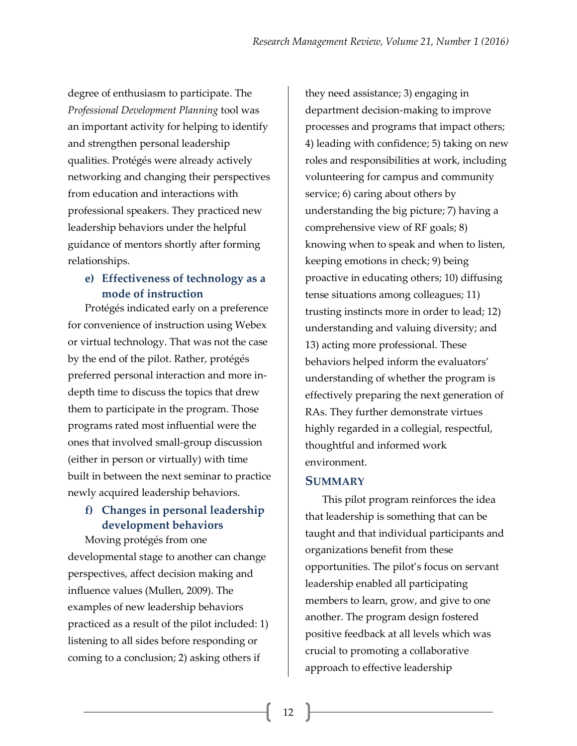degree of enthusiasm to participate. The *Professional Development Planning* tool was an important activity for helping to identify and strengthen personal leadership qualities. Protégés were already actively networking and changing their perspectives from education and interactions with professional speakers. They practiced new leadership behaviors under the helpful guidance of mentors shortly after forming relationships.

## **e) Effectiveness of technology as a mode of instruction**

Protégés indicated early on a preference for convenience of instruction using Webex or virtual technology. That was not the case by the end of the pilot. Rather, protégés preferred personal interaction and more indepth time to discuss the topics that drew them to participate in the program. Those programs rated most influential were the ones that involved small-group discussion (either in person or virtually) with time built in between the next seminar to practice newly acquired leadership behaviors.

# **f) Changes in personal leadership development behaviors**

Moving protégés from one developmental stage to another can change perspectives, affect decision making and influence values (Mullen, 2009). The examples of new leadership behaviors practiced as a result of the pilot included: 1) listening to all sides before responding or coming to a conclusion; 2) asking others if

they need assistance; 3) engaging in department decision-making to improve processes and programs that impact others; 4) leading with confidence; 5) taking on new roles and responsibilities at work, including volunteering for campus and community service; 6) caring about others by understanding the big picture; 7) having a comprehensive view of RF goals; 8) knowing when to speak and when to listen, keeping emotions in check; 9) being proactive in educating others; 10) diffusing tense situations among colleagues; 11) trusting instincts more in order to lead; 12) understanding and valuing diversity; and 13) acting more professional. These behaviors helped inform the evaluators' understanding of whether the program is effectively preparing the next generation of RAs. They further demonstrate virtues highly regarded in a collegial, respectful, thoughtful and informed work environment.

## **SUMMARY**

This pilot program reinforces the idea that leadership is something that can be taught and that individual participants and organizations benefit from these opportunities. The pilot's focus on servant leadership enabled all participating members to learn, grow, and give to one another. The program design fostered positive feedback at all levels which was crucial to promoting a collaborative approach to effective leadership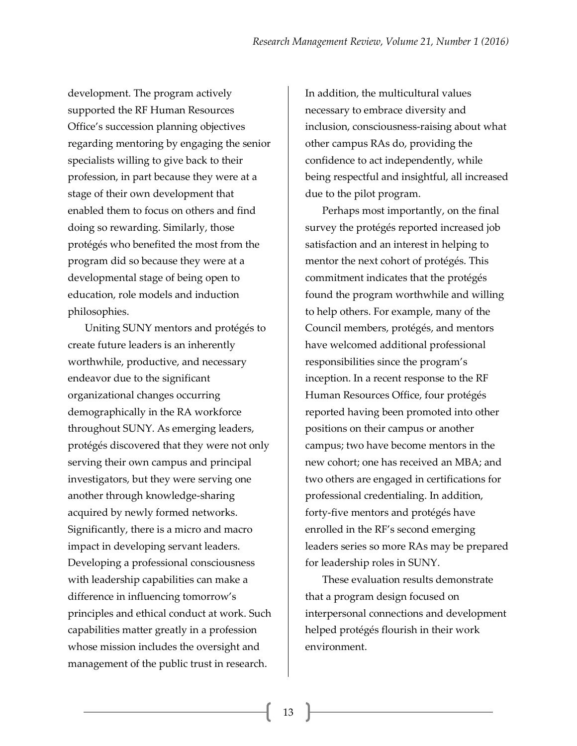development. The program actively supported the RF Human Resources Office's succession planning objectives regarding mentoring by engaging the senior specialists willing to give back to their profession, in part because they were at a stage of their own development that enabled them to focus on others and find doing so rewarding. Similarly, those protégés who benefited the most from the program did so because they were at a developmental stage of being open to education, role models and induction philosophies.

Uniting SUNY mentors and protégés to create future leaders is an inherently worthwhile, productive, and necessary endeavor due to the significant organizational changes occurring demographically in the RA workforce throughout SUNY. As emerging leaders, protégés discovered that they were not only serving their own campus and principal investigators, but they were serving one another through knowledge-sharing acquired by newly formed networks. Significantly, there is a micro and macro impact in developing servant leaders. Developing a professional consciousness with leadership capabilities can make a difference in influencing tomorrow's principles and ethical conduct at work. Such capabilities matter greatly in a profession whose mission includes the oversight and management of the public trust in research.

In addition, the multicultural values necessary to embrace diversity and inclusion, consciousness-raising about what other campus RAs do, providing the confidence to act independently, while being respectful and insightful, all increased due to the pilot program.

Perhaps most importantly, on the final survey the protégés reported increased job satisfaction and an interest in helping to mentor the next cohort of protégés. This commitment indicates that the protégés found the program worthwhile and willing to help others. For example, many of the Council members, protégés, and mentors have welcomed additional professional responsibilities since the program's inception. In a recent response to the RF Human Resources Office, four protégés reported having been promoted into other positions on their campus or another campus; two have become mentors in the new cohort; one has received an MBA; and two others are engaged in certifications for professional credentialing. In addition, forty-five mentors and protégés have enrolled in the RF's second emerging leaders series so more RAs may be prepared for leadership roles in SUNY.

These evaluation results demonstrate that a program design focused on interpersonal connections and development helped protégés flourish in their work environment.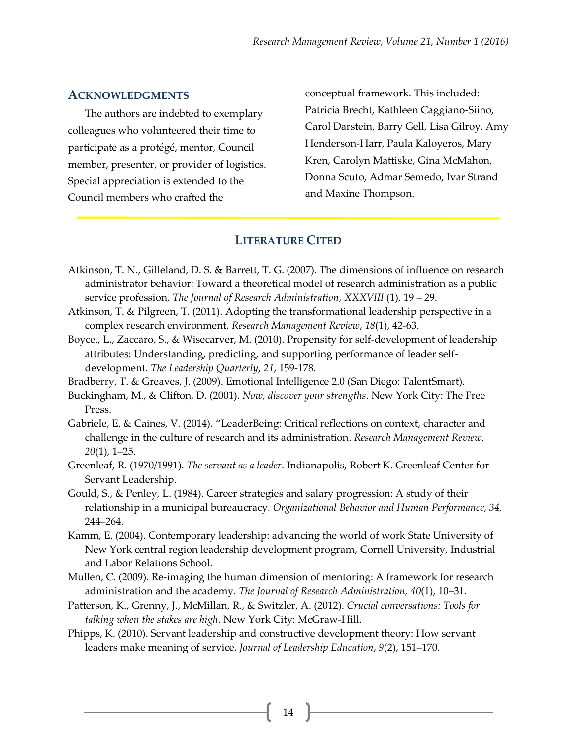#### **ACKNOWLEDGMENTS**

The authors are indebted to exemplary colleagues who volunteered their time to participate as a protégé, mentor, Council member, presenter, or provider of logistics. Special appreciation is extended to the Council members who crafted the

conceptual framework. This included: Patricia Brecht, Kathleen Caggiano-Siino, Carol Darstein, Barry Gell, Lisa Gilroy, Amy Henderson-Harr, Paula Kaloyeros, Mary Kren, Carolyn Mattiske, Gina McMahon, Donna Scuto, Admar Semedo, Ivar Strand and Maxine Thompson.

### **LITERATURE CITED**

- Atkinson, T. N., Gilleland, D. S. & Barrett, T. G. (2007). The dimensions of influence on research administrator behavior: Toward a theoretical model of research administration as a public service profession, *The Journal of Research Administration*, *XXXVIII* (1), 19 – 29.
- Atkinson, T. & Pilgreen, T. (2011). Adopting the transformational leadership perspective in a complex research environment*. Research Management Review*, *18*(1), 42-63.
- Boyce., L., Zaccaro, S., & Wisecarver, M. (2010). Propensity for self-development of leadership attributes: Understanding, predicting, and supporting performance of leader selfdevelopment. *The Leadership Quarterly*, *21*, 159-178.
- Bradberry, T. & Greaves, J. (2009). Emotional Intelligence 2.0 (San Diego: TalentSmart).
- Buckingham, M., & Clifton, D. (2001). *Now, discover your strengths*. New York City: The Free Press.
- Gabriele, E. & Caines, V. (2014). "LeaderBeing: Critical reflections on context, character and challenge in the culture of research and its administration. *Research Management Review, 20*(1), 1–25.
- Greenleaf, R. (1970/1991). *The servant as a leader*. Indianapolis, Robert K. Greenleaf Center for Servant Leadership.
- Gould, S., & Penley, L. (1984). Career strategies and salary progression: A study of their relationship in a municipal bureaucracy*. Organizational Behavior and Human Performance, 34,* 244–264.
- Kamm, E. (2004). Contemporary leadership: advancing the world of work State University of New York central region leadership development program, Cornell University, Industrial and Labor Relations School.
- Mullen, C. (2009). Re-imaging the human dimension of mentoring: A framework for research administration and the academy. *The Journal of Research Administration, 40*(1), 10–31.
- Patterson, K., Grenny, J., McMillan, R., & Switzler, A. (2012). *Crucial conversations: Tools for talking when the stakes are high*. New York City: McGraw-Hill.
- Phipps, K. (2010). Servant leadership and constructive development theory: How servant leaders make meaning of service. *Journal of Leadership Education*, *9*(2), 151–170.